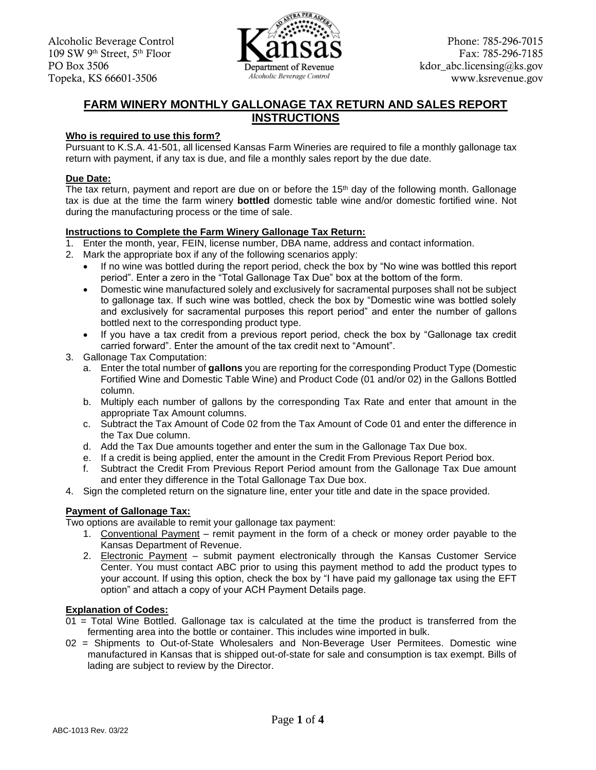

# **FARM WINERY MONTHLY GALLONAGE TAX RETURN AND SALES REPORT INSTRUCTIONS**

## **Who is required to use this form?**

Pursuant to K.S.A. 41-501, all licensed Kansas Farm Wineries are required to file a monthly gallonage tax return with payment, if any tax is due, and file a monthly sales report by the due date.

## **Due Date:**

The tax return, payment and report are due on or before the  $15<sup>th</sup>$  day of the following month. Gallonage tax is due at the time the farm winery **bottled** domestic table wine and/or domestic fortified wine. Not during the manufacturing process or the time of sale.

## **Instructions to Complete the Farm Winery Gallonage Tax Return:**

- 1. Enter the month, year, FEIN, license number, DBA name, address and contact information.
- 2. Mark the appropriate box if any of the following scenarios apply:
	- If no wine was bottled during the report period, check the box by "No wine was bottled this report period". Enter a zero in the "Total Gallonage Tax Due" box at the bottom of the form.
	- Domestic wine manufactured solely and exclusively for sacramental purposes shall not be subject to gallonage tax. If such wine was bottled, check the box by "Domestic wine was bottled solely and exclusively for sacramental purposes this report period" and enter the number of gallons bottled next to the corresponding product type.
	- If you have a tax credit from a previous report period, check the box by "Gallonage tax credit carried forward". Enter the amount of the tax credit next to "Amount".
- 3. Gallonage Tax Computation:
	- a. Enter the total number of **gallons** you are reporting for the corresponding Product Type (Domestic Fortified Wine and Domestic Table Wine) and Product Code (01 and/or 02) in the Gallons Bottled column.
	- b. Multiply each number of gallons by the corresponding Tax Rate and enter that amount in the appropriate Tax Amount columns.
	- c. Subtract the Tax Amount of Code 02 from the Tax Amount of Code 01 and enter the difference in the Tax Due column.
	- d. Add the Tax Due amounts together and enter the sum in the Gallonage Tax Due box.
	- e. If a credit is being applied, enter the amount in the Credit From Previous Report Period box.
	- f. Subtract the Credit From Previous Report Period amount from the Gallonage Tax Due amount and enter they difference in the Total Gallonage Tax Due box.
- 4. Sign the completed return on the signature line, enter your title and date in the space provided.

## **Payment of Gallonage Tax:**

Two options are available to remit your gallonage tax payment:

- 1. Conventional Payment remit payment in the form of a check or money order payable to the Kansas Department of Revenue.
- 2. Electronic Payment submit payment electronically through the Kansas Customer Service Center. You must contact ABC prior to using this payment method to add the product types to your account. If using this option, check the box by "I have paid my gallonage tax using the EFT option" and attach a copy of your ACH Payment Details page.

## **Explanation of Codes:**

- $01$  = Total Wine Bottled. Gallonage tax is calculated at the time the product is transferred from the fermenting area into the bottle or container. This includes wine imported in bulk.
- 02 = Shipments to Out-of-State Wholesalers and Non-Beverage User Permitees. Domestic wine manufactured in Kansas that is shipped out-of-state for sale and consumption is tax exempt. Bills of lading are subject to review by the Director.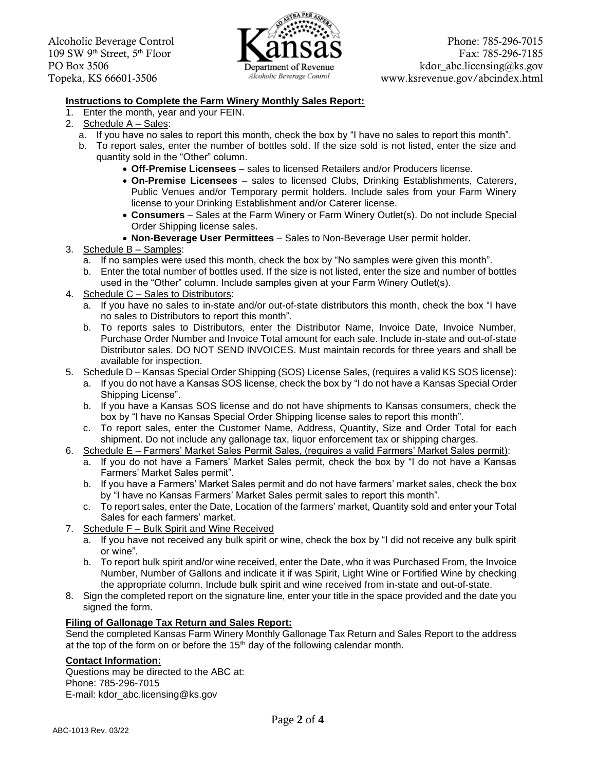

### **Instructions to Complete the Farm Winery Monthly Sales Report:**

- 1. Enter the month, year and your FEIN.
- 2. Schedule A Sales:
	- a. If you have no sales to report this month, check the box by "I have no sales to report this month".
	- b. To report sales, enter the number of bottles sold. If the size sold is not listed, enter the size and quantity sold in the "Other" column.
		- **Off-Premise Licensees**  sales to licensed Retailers and/or Producers license.
		- Public Venues and/or Temporary permit holders. Include sales from your Farm Winery • **On-Premise Licensees** – sales to licensed Clubs, Drinking Establishments, Caterers, license to your Drinking Establishment and/or Caterer license.
		- **Consumers**  Sales at the Farm Winery or Farm Winery Outlet(s). Do not include Special Order Shipping license sales.
		- **Non-Beverage User Permittees**  Sales to Non-Beverage User permit holder.
- 3. Schedule B Samples:
	- a. If no samples were used this month, check the box by "No samples were given this month".
	- b. Enter the total number of bottles used. If the size is not listed, enter the size and number of bottles used in the "Other" column. Include samples given at your Farm Winery Outlet(s).
- 4. Schedule C Sales to Distributors:
	- a. If you have no sales to in-state and/or out-of-state distributors this month, check the box "I have no sales to Distributors to report this month".
	- b. To reports sales to Distributors, enter the Distributor Name, Invoice Date, Invoice Number, Purchase Order Number and Invoice Total amount for each sale. Include in-state and out-of-state Distributor sales. DO NOT SEND INVOICES. Must maintain records for three years and shall be available for inspection.
- 5. Schedule D Kansas Special Order Shipping (SOS) License Sales, (requires a valid KS SOS license):
	- a. If you do not have a Kansas SOS license, check the box by "I do not have a Kansas Special Order Shipping License".
	- b. If you have a Kansas SOS license and do not have shipments to Kansas consumers, check the box by "I have no Kansas Special Order Shipping license sales to report this month".
	- c. To report sales, enter the Customer Name, Address, Quantity, Size and Order Total for each shipment. Do not include any gallonage tax, liquor enforcement tax or shipping charges.
- 6. Schedule E Farmers' Market Sales Permit Sales, (requires a valid Farmers' Market Sales permit):
	- a. If you do not have a Famers' Market Sales permit, check the box by "I do not have a Kansas Farmers' Market Sales permit".
	- b. If you have a Farmers' Market Sales permit and do not have farmers' market sales, check the box by "I have no Kansas Farmers' Market Sales permit sales to report this month".
	- c. To report sales, enter the Date, Location of the farmers' market, Quantity sold and enter your Total Sales for each farmers' market.
- 7. Schedule F Bulk Spirit and Wine Received
	- a. If you have not received any bulk spirit or wine, check the box by "I did not receive any bulk spirit or wine".
	- b. To report bulk spirit and/or wine received, enter the Date, who it was Purchased From, the Invoice Number, Number of Gallons and indicate it if was Spirit, Light Wine or Fortified Wine by checking the appropriate column. Include bulk spirit and wine received from in-state and out-of-state.
- 8. Sign the completed report on the signature line, enter your title in the space provided and the date you signed the form.

### **Filing of Gallonage Tax Return and Sales Report:**

 Send the completed Kansas Farm Winery Monthly Gallonage Tax Return and Sales Report to the address at the top of the form on or before the  $15<sup>th</sup>$  day of the following calendar month.

### **Contact Information:**

Questions may be directed to the ABC at: Phone: 785-296-7015 E-mail: [kdor\\_abc.licensing@ks.gov](mailto:kdor_abc.licensing@ks.gov)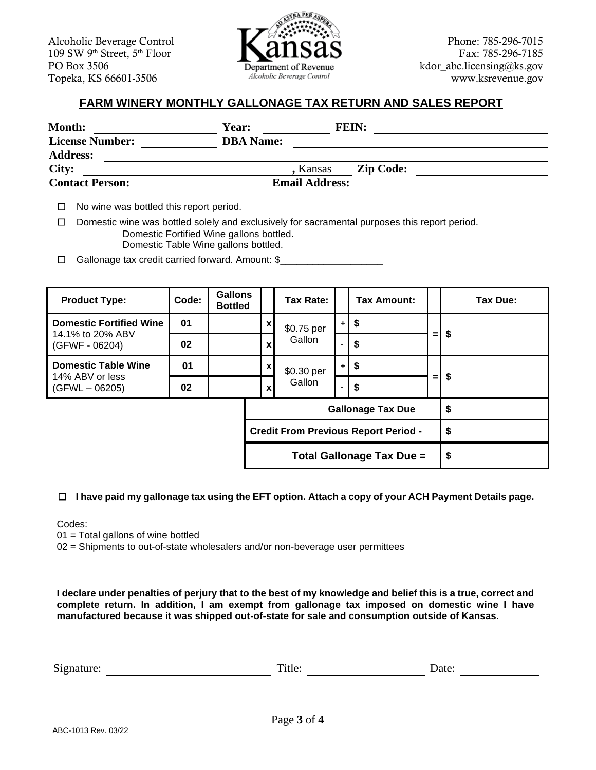Alcoholic Beverage Control **Phone:** 785-296-7015 109 SW 9<sup>th</sup> Street, 5<sup>th</sup> Floor **Fax: 785-296-7185** PO Box 3506 **Example Box 3506 Example Box 3506 Example Box 3506 Example Box 3506 Example Box 3506 Example Box 3506** Topeka, KS 66601-3506 *Alcoholic Beverage Control* <www.ksrevenue.gov>



# **FARM WINERY MONTHLY GALLONAGE TAX RETURN AND SALES REPORT**

| <b>Month:</b>          | <b>Year:</b>     |                       | <b>FEIN:</b>     |  |
|------------------------|------------------|-----------------------|------------------|--|
| <b>License Number:</b> | <b>DBA</b> Name: |                       |                  |  |
| <b>Address:</b>        |                  |                       |                  |  |
| City:                  |                  | , Kansas              | <b>Zip Code:</b> |  |
| <b>Contact Person:</b> |                  | <b>Email Address:</b> |                  |  |

□ No wine was bottled this report period.

□ Domestic wine was bottled solely and exclusively for sacramental purposes this report period. Domestic Fortified Wine gallons bottled. Domestic Table Wine gallons bottled.

□ Gallonage tax credit carried forward. Amount: \$\_\_\_\_\_\_\_\_\_\_\_\_\_\_\_\_\_\_\_\_\_\_\_\_\_\_\_\_\_\_

| <b>Product Type:</b>                | Code: | <b>Gallons</b><br><b>Bottled</b> |                  | Tax Rate:                                   |      | <b>Tax Amount:</b>       |     | Tax Due: |  |
|-------------------------------------|-------|----------------------------------|------------------|---------------------------------------------|------|--------------------------|-----|----------|--|
| <b>Domestic Fortified Wine</b>      | 01    |                                  | $\mathbf{x}$     | \$0.75 per                                  |      | \$<br>$+1$               |     |          |  |
| 14.1% to 20% ABV<br>(GFWF - 06204)  | 02    |                                  | $\mathbf{x}$     | Gallon                                      |      | \$                       | $=$ | S.       |  |
| <b>Domestic Table Wine</b>          | 01    |                                  | $\boldsymbol{x}$ | \$0.30 per                                  | $+1$ | \$                       |     |          |  |
| 14% ABV or less<br>$(GFWL - 06205)$ | 02    |                                  | $\mathbf x$      | Gallon                                      |      | \$                       | $=$ | \$       |  |
|                                     |       |                                  |                  |                                             |      | <b>Gallonage Tax Due</b> |     | \$       |  |
|                                     |       |                                  |                  | <b>Credit From Previous Report Period -</b> |      |                          |     | \$       |  |
| Total Gallonage Tax Due =           |       |                                  |                  |                                             | \$   |                          |     |          |  |

## ☐ **I have paid my gallonage tax using the EFT option. Attach a copy of your ACH Payment Details page.**

Codes:

 $01 = \text{Total gallons of wine bottle}$ 

02 = Shipments to out-of-state wholesalers and/or non-beverage user permittees

 **I declare under penalties of perjury that to the best of my knowledge and belief this is a true, correct and complete return. In addition, I am exempt from gallonage tax imposed on domestic wine I have manufactured because it was shipped out-of-state for sale and consumption outside of Kansas.** 

| $\sim$<br>Signature:<br>∩f∆<br>∡ itie: ⊥<br>Dale. |  |
|---------------------------------------------------|--|
|---------------------------------------------------|--|